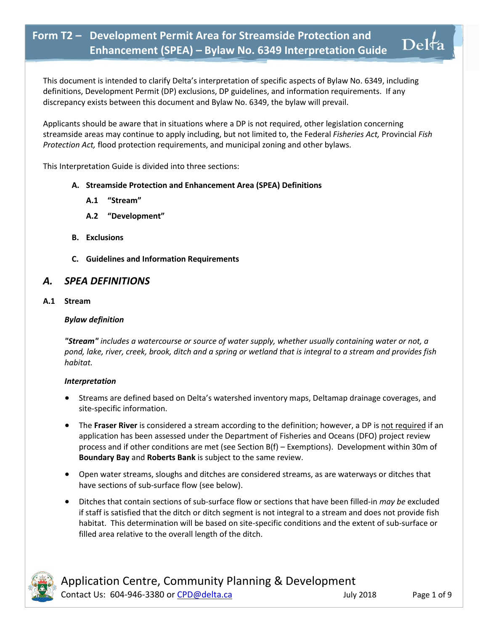This document is intended to clarify Delta's interpretation of specific aspects of Bylaw No. 6349, including definitions, Development Permit (DP) exclusions, DP guidelines, and information requirements. If any discrepancy exists between this document and Bylaw No. 6349, the bylaw will prevail.

Applicants should be aware that in situations where a DP is not required, other legislation concerning streamside areas may continue to apply including, but not limited to, the Federal *Fisheries Act,* Provincial *Fish Protection Act,* flood protection requirements, and municipal zoning and other bylaws.

This Interpretation Guide is divided into three sections:

### **A. Streamside Protection and Enhancement Area (SPEA) Definitions**

- **A.1 "Stream"**
- **A.2 "Development"**
- **B. Exclusions**
- **C. Guidelines and Information Requirements**

### *A. SPEA DEFINITIONS*

**A.1 Stream**

#### *Bylaw definition*

*"Stream" includes a watercourse or source of water supply, whether usually containing water or not, a pond, lake, river, creek, brook, ditch and a spring or wetland that is integral to a stream and provides fish habitat.*

#### *Interpretation*

- Streams are defined based on Delta's watershed inventory maps, Deltamap drainage coverages, and site-specific information.
- **•** The Fraser River is considered a stream according to the definition; however, a DP is not required if an application has been assessed under the Department of Fisheries and Oceans (DFO) project review process and if other conditions are met (see Section B(f) – Exemptions). Development within 30m of **Boundary Bay** and **Roberts Bank** is subject to the same review.
- Open water streams, sloughs and ditches are considered streams, as are waterways or ditches that have sections of sub-surface flow (see below).
- Ditches that contain sections of sub-surface flow or sections that have been filled-in *may be* excluded if staff is satisfied that the ditch or ditch segment is not integral to a stream and does not provide fish habitat. This determination will be based on site-specific conditions and the extent of sub-surface or filled area relative to the overall length of the ditch.



 $\mathrm{Del}$ ta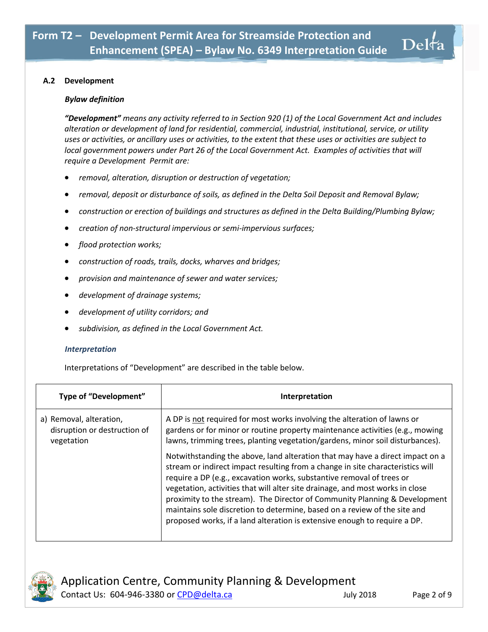#### **A.2 Development**

#### *Bylaw definition*

*"Development" means any activity referred to in Section 920 (1) of the Local Government Act and includes alteration or development of land for residential, commercial, industrial, institutional, service, or utility uses or activities, or ancillary uses or activities, to the extent that these uses or activities are subject to local government powers under Part 26 of the Local Government Act. Examples of activities that will require a Development Permit are:*

- *removal, alteration, disruption or destruction of vegetation;*
- *removal, deposit or disturbance of soils, as defined in the Delta Soil Deposit and Removal Bylaw;*
- *construction or erection of buildings and structures as defined in the Delta Building/Plumbing Bylaw;*
- *creation of non-structural impervious or semi-impervious surfaces;*
- *flood protection works;*
- *construction of roads, trails, docks, wharves and bridges;*
- *provision and maintenance of sewer and water services;*
- *development of drainage systems;*
- *development of utility corridors; and*
- *subdivision, as defined in the Local Government Act.*

#### *Interpretation*

Interpretations of "Development" are described in the table below.

| Type of "Development"                                                 | Interpretation                                                                                                                                                                                                                                                                                                                                                                                                                                                                                                                                                    |
|-----------------------------------------------------------------------|-------------------------------------------------------------------------------------------------------------------------------------------------------------------------------------------------------------------------------------------------------------------------------------------------------------------------------------------------------------------------------------------------------------------------------------------------------------------------------------------------------------------------------------------------------------------|
| a) Removal, alteration,<br>disruption or destruction of<br>vegetation | A DP is not required for most works involving the alteration of lawns or<br>gardens or for minor or routine property maintenance activities (e.g., mowing<br>lawns, trimming trees, planting vegetation/gardens, minor soil disturbances).                                                                                                                                                                                                                                                                                                                        |
|                                                                       | Notwithstanding the above, land alteration that may have a direct impact on a<br>stream or indirect impact resulting from a change in site characteristics will<br>require a DP (e.g., excavation works, substantive removal of trees or<br>vegetation, activities that will alter site drainage, and most works in close<br>proximity to the stream). The Director of Community Planning & Development<br>maintains sole discretion to determine, based on a review of the site and<br>proposed works, if a land alteration is extensive enough to require a DP. |



 $\mathrm{Del}$ ta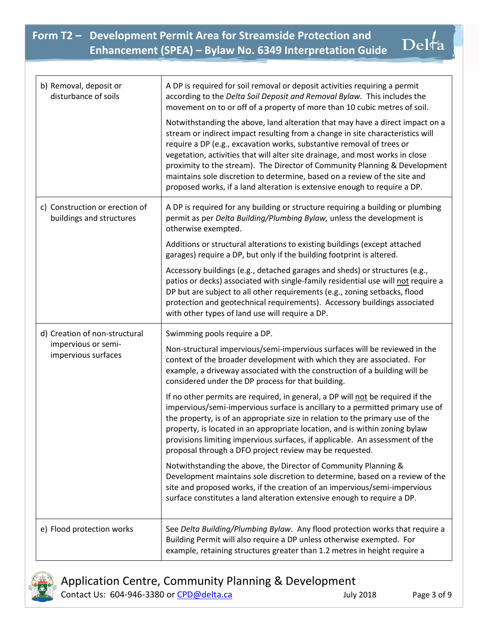| b) Removal, deposit or<br>disturbance of soils                              | A DP is required for soil removal or deposit activities requiring a permit<br>according to the Delta Soil Deposit and Removal Bylaw. This includes the<br>movement on to or off of a property of more than 10 cubic metres of soil.<br>Notwithstanding the above, land alteration that may have a direct impact on a<br>stream or indirect impact resulting from a change in site characteristics will<br>require a DP (e.g., excavation works, substantive removal of trees or<br>vegetation, activities that will alter site drainage, and most works in close<br>proximity to the stream). The Director of Community Planning & Development<br>maintains sole discretion to determine, based on a review of the site and<br>proposed works, if a land alteration is extensive enough to require a DP.                                                                                                                                                                                                                                                                                                          |
|-----------------------------------------------------------------------------|-------------------------------------------------------------------------------------------------------------------------------------------------------------------------------------------------------------------------------------------------------------------------------------------------------------------------------------------------------------------------------------------------------------------------------------------------------------------------------------------------------------------------------------------------------------------------------------------------------------------------------------------------------------------------------------------------------------------------------------------------------------------------------------------------------------------------------------------------------------------------------------------------------------------------------------------------------------------------------------------------------------------------------------------------------------------------------------------------------------------|
| c) Construction or erection of<br>buildings and structures                  | A DP is required for any building or structure requiring a building or plumbing<br>permit as per Delta Building/Plumbing Bylaw, unless the development is<br>otherwise exempted.<br>Additions or structural alterations to existing buildings (except attached<br>garages) require a DP, but only if the building footprint is altered.                                                                                                                                                                                                                                                                                                                                                                                                                                                                                                                                                                                                                                                                                                                                                                           |
|                                                                             | Accessory buildings (e.g., detached garages and sheds) or structures (e.g.,<br>patios or decks) associated with single-family residential use will not require a<br>DP but are subject to all other requirements (e.g., zoning setbacks, flood<br>protection and geotechnical requirements). Accessory buildings associated<br>with other types of land use will require a DP.                                                                                                                                                                                                                                                                                                                                                                                                                                                                                                                                                                                                                                                                                                                                    |
| d) Creation of non-structural<br>impervious or semi-<br>impervious surfaces | Swimming pools require a DP.<br>Non-structural impervious/semi-impervious surfaces will be reviewed in the<br>context of the broader development with which they are associated. For<br>example, a driveway associated with the construction of a building will be<br>considered under the DP process for that building.<br>If no other permits are required, in general, a DP will not be required if the<br>impervious/semi-impervious surface is ancillary to a permitted primary use of<br>the property, is of an appropriate size in relation to the primary use of the<br>property, is located in an appropriate location, and is within zoning bylaw<br>provisions limiting impervious surfaces, if applicable. An assessment of the<br>proposal through a DFO project review may be requested.<br>Notwithstanding the above, the Director of Community Planning &<br>Development maintains sole discretion to determine, based on a review of the<br>site and proposed works, if the creation of an impervious/semi-impervious<br>surface constitutes a land alteration extensive enough to require a DP. |
| e) Flood protection works                                                   | See Delta Building/Plumbing Bylaw. Any flood protection works that require a<br>Building Permit will also require a DP unless otherwise exempted. For<br>example, retaining structures greater than 1.2 metres in height require a                                                                                                                                                                                                                                                                                                                                                                                                                                                                                                                                                                                                                                                                                                                                                                                                                                                                                |



Application Centre, Community Planning & Development Contact Us: 604-946-3380 or [CPD@delta.ca](mailto:CPD@delta.ca) July 2018 Page 3 of 9

Delfa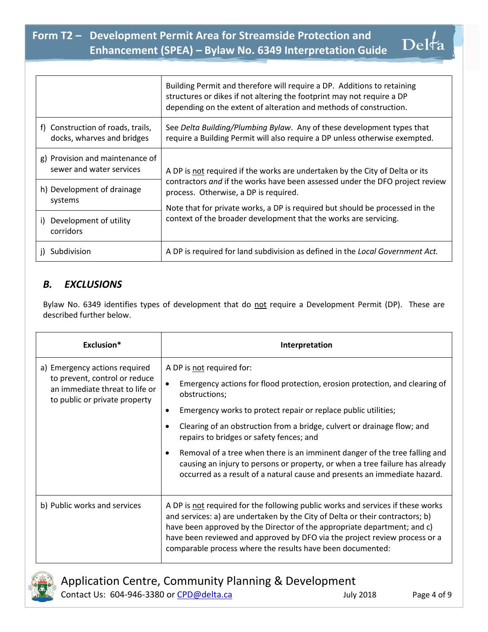|                                                                 | Building Permit and therefore will require a DP. Additions to retaining<br>structures or dikes if not altering the footprint may not require a DP<br>depending on the extent of alteration and methods of construction.                                                                                                                                   |
|-----------------------------------------------------------------|-----------------------------------------------------------------------------------------------------------------------------------------------------------------------------------------------------------------------------------------------------------------------------------------------------------------------------------------------------------|
| f) Construction of roads, trails,<br>docks, wharves and bridges | See Delta Building/Plumbing Bylaw. Any of these development types that<br>require a Building Permit will also require a DP unless otherwise exempted.                                                                                                                                                                                                     |
| g) Provision and maintenance of<br>sewer and water services     | A DP is not required if the works are undertaken by the City of Delta or its<br>contractors and if the works have been assessed under the DFO project review<br>process. Otherwise, a DP is required.<br>Note that for private works, a DP is required but should be processed in the<br>context of the broader development that the works are servicing. |
| h) Development of drainage<br>systems                           |                                                                                                                                                                                                                                                                                                                                                           |
| Development of utility<br>i)<br>corridors                       |                                                                                                                                                                                                                                                                                                                                                           |
| Subdivision                                                     | A DP is required for land subdivision as defined in the Local Government Act.                                                                                                                                                                                                                                                                             |

## *B. EXCLUSIONS*

Bylaw No. 6349 identifies types of development that do not require a Development Permit (DP). These are described further below.

| Exclusion*                                                                                                                        | Interpretation                                                                                                                                                                                                                                                                                                                                                                                                                                                                                                                                                |
|-----------------------------------------------------------------------------------------------------------------------------------|---------------------------------------------------------------------------------------------------------------------------------------------------------------------------------------------------------------------------------------------------------------------------------------------------------------------------------------------------------------------------------------------------------------------------------------------------------------------------------------------------------------------------------------------------------------|
| a) Emergency actions required<br>to prevent, control or reduce<br>an immediate threat to life or<br>to public or private property | A DP is not required for:<br>Emergency actions for flood protection, erosion protection, and clearing of<br>obstructions;<br>Emergency works to protect repair or replace public utilities;<br>Clearing of an obstruction from a bridge, culvert or drainage flow; and<br>repairs to bridges or safety fences; and<br>Removal of a tree when there is an imminent danger of the tree falling and<br>causing an injury to persons or property, or when a tree failure has already<br>occurred as a result of a natural cause and presents an immediate hazard. |
| b) Public works and services                                                                                                      | A DP is not required for the following public works and services if these works<br>and services: a) are undertaken by the City of Delta or their contractors; b)<br>have been approved by the Director of the appropriate department; and c)<br>have been reviewed and approved by DFO via the project review process or a<br>comparable process where the results have been documented:                                                                                                                                                                      |



Application Centre, Community Planning & Development Contact Us: 604-946-3380 or [CPD@delta.ca](mailto:CPD@delta.ca) July 2018 Page 4 of 9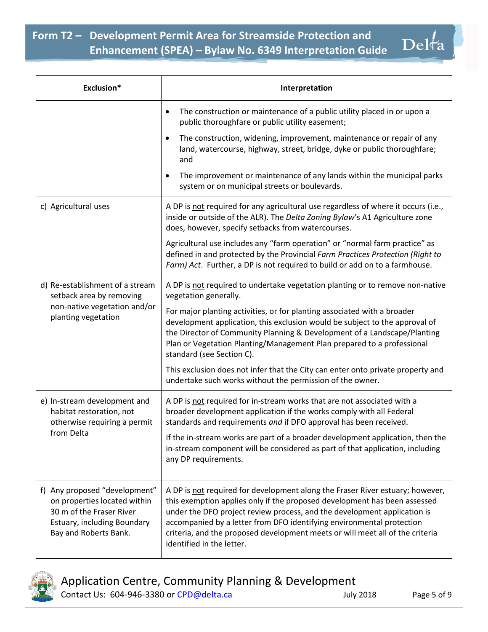| Exclusion*                                                                                                                                        | Interpretation                                                                                                                                                                                                                                                                                                                                                                                                                |
|---------------------------------------------------------------------------------------------------------------------------------------------------|-------------------------------------------------------------------------------------------------------------------------------------------------------------------------------------------------------------------------------------------------------------------------------------------------------------------------------------------------------------------------------------------------------------------------------|
|                                                                                                                                                   | The construction or maintenance of a public utility placed in or upon a<br>$\bullet$<br>public thoroughfare or public utility easement;                                                                                                                                                                                                                                                                                       |
|                                                                                                                                                   | The construction, widening, improvement, maintenance or repair of any<br>$\bullet$<br>land, watercourse, highway, street, bridge, dyke or public thoroughfare;<br>and                                                                                                                                                                                                                                                         |
|                                                                                                                                                   | The improvement or maintenance of any lands within the municipal parks<br>$\bullet$<br>system or on municipal streets or boulevards.                                                                                                                                                                                                                                                                                          |
| c) Agricultural uses                                                                                                                              | A DP is not required for any agricultural use regardless of where it occurs (i.e.,<br>inside or outside of the ALR). The Delta Zoning Bylaw's A1 Agriculture zone<br>does, however, specify setbacks from watercourses.                                                                                                                                                                                                       |
|                                                                                                                                                   | Agricultural use includes any "farm operation" or "normal farm practice" as<br>defined in and protected by the Provincial Farm Practices Protection (Right to<br>Farm) Act. Further, a DP is not required to build or add on to a farmhouse.                                                                                                                                                                                  |
| d) Re-establishment of a stream<br>setback area by removing<br>non-native vegetation and/or<br>planting vegetation                                | A DP is not required to undertake vegetation planting or to remove non-native<br>vegetation generally.                                                                                                                                                                                                                                                                                                                        |
|                                                                                                                                                   | For major planting activities, or for planting associated with a broader<br>development application, this exclusion would be subject to the approval of<br>the Director of Community Planning & Development of a Landscape/Planting<br>Plan or Vegetation Planting/Management Plan prepared to a professional<br>standard (see Section C).                                                                                    |
|                                                                                                                                                   | This exclusion does not infer that the City can enter onto private property and<br>undertake such works without the permission of the owner.                                                                                                                                                                                                                                                                                  |
| e) In-stream development and<br>habitat restoration, not<br>otherwise requiring a permit<br>from Delta                                            | A DP is not required for in-stream works that are not associated with a<br>broader development application if the works comply with all Federal<br>standards and requirements and if DFO approval has been received.                                                                                                                                                                                                          |
|                                                                                                                                                   | If the in-stream works are part of a broader development application, then the<br>in-stream component will be considered as part of that application, including<br>any DP requirements.                                                                                                                                                                                                                                       |
| f) Any proposed "development"<br>on properties located within<br>30 m of the Fraser River<br>Estuary, including Boundary<br>Bay and Roberts Bank. | A DP is not required for development along the Fraser River estuary; however,<br>this exemption applies only if the proposed development has been assessed<br>under the DFO project review process, and the development application is<br>accompanied by a letter from DFO identifying environmental protection<br>criteria, and the proposed development meets or will meet all of the criteria<br>identified in the letter. |

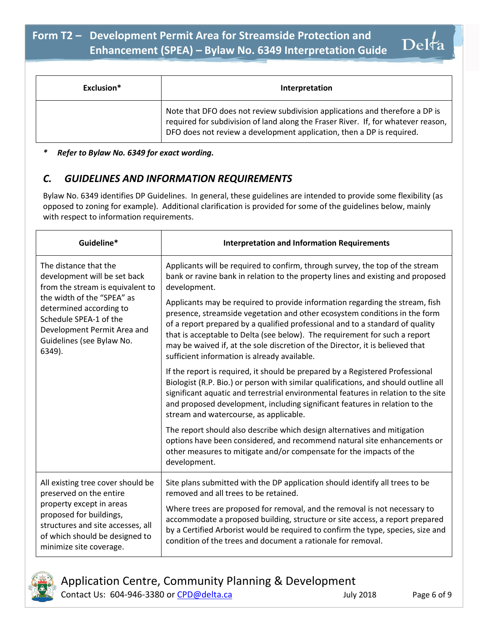| Exclusion* | Interpretation                                                                                                                                                                                                                             |
|------------|--------------------------------------------------------------------------------------------------------------------------------------------------------------------------------------------------------------------------------------------|
|            | Note that DFO does not review subdivision applications and therefore a DP is<br>required for subdivision of land along the Fraser River. If, for whatever reason,<br>DFO does not review a development application, then a DP is required. |

### *\* Refer to Bylaw No. 6349 for exact wording.*

## *C. GUIDELINES AND INFORMATION REQUIREMENTS*

Bylaw No. 6349 identifies DP Guidelines. In general, these guidelines are intended to provide some flexibility (as opposed to zoning for example). Additional clarification is provided for some of the guidelines below, mainly with respect to information requirements.

| Guideline*                                                                                                                                                                                                                                         | <b>Interpretation and Information Requirements</b>                                                                                                                                                                                                                                                                                                                                                                                                         |
|----------------------------------------------------------------------------------------------------------------------------------------------------------------------------------------------------------------------------------------------------|------------------------------------------------------------------------------------------------------------------------------------------------------------------------------------------------------------------------------------------------------------------------------------------------------------------------------------------------------------------------------------------------------------------------------------------------------------|
| The distance that the<br>development will be set back<br>from the stream is equivalent to<br>the width of the "SPEA" as<br>determined according to<br>Schedule SPEA-1 of the<br>Development Permit Area and<br>Guidelines (see Bylaw No.<br>6349). | Applicants will be required to confirm, through survey, the top of the stream<br>bank or ravine bank in relation to the property lines and existing and proposed<br>development.                                                                                                                                                                                                                                                                           |
|                                                                                                                                                                                                                                                    | Applicants may be required to provide information regarding the stream, fish<br>presence, streamside vegetation and other ecosystem conditions in the form<br>of a report prepared by a qualified professional and to a standard of quality<br>that is acceptable to Delta (see below). The requirement for such a report<br>may be waived if, at the sole discretion of the Director, it is believed that<br>sufficient information is already available. |
|                                                                                                                                                                                                                                                    | If the report is required, it should be prepared by a Registered Professional<br>Biologist (R.P. Bio.) or person with similar qualifications, and should outline all<br>significant aquatic and terrestrial environmental features in relation to the site<br>and proposed development, including significant features in relation to the<br>stream and watercourse, as applicable.                                                                        |
|                                                                                                                                                                                                                                                    | The report should also describe which design alternatives and mitigation<br>options have been considered, and recommend natural site enhancements or<br>other measures to mitigate and/or compensate for the impacts of the<br>development.                                                                                                                                                                                                                |
| All existing tree cover should be<br>preserved on the entire<br>property except in areas<br>proposed for buildings,<br>structures and site accesses, all<br>of which should be designed to<br>minimize site coverage.                              | Site plans submitted with the DP application should identify all trees to be<br>removed and all trees to be retained.                                                                                                                                                                                                                                                                                                                                      |
|                                                                                                                                                                                                                                                    | Where trees are proposed for removal, and the removal is not necessary to<br>accommodate a proposed building, structure or site access, a report prepared<br>by a Certified Arborist would be required to confirm the type, species, size and<br>condition of the trees and document a rationale for removal.                                                                                                                                              |

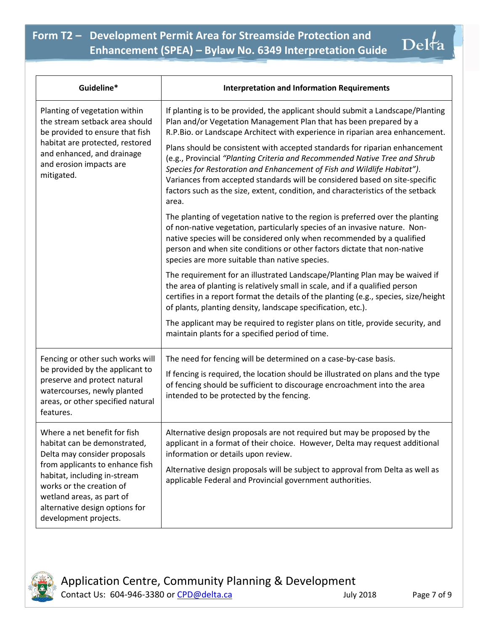| Guideline*                                                                                                                                                                                                                                                                          | <b>Interpretation and Information Requirements</b>                                                                                                                                                                                                                                                                                                                                                                                                                                                                                                                                                                                                        |
|-------------------------------------------------------------------------------------------------------------------------------------------------------------------------------------------------------------------------------------------------------------------------------------|-----------------------------------------------------------------------------------------------------------------------------------------------------------------------------------------------------------------------------------------------------------------------------------------------------------------------------------------------------------------------------------------------------------------------------------------------------------------------------------------------------------------------------------------------------------------------------------------------------------------------------------------------------------|
| Planting of vegetation within<br>the stream setback area should<br>be provided to ensure that fish<br>habitat are protected, restored<br>and enhanced, and drainage<br>and erosion impacts are<br>mitigated.                                                                        | If planting is to be provided, the applicant should submit a Landscape/Planting<br>Plan and/or Vegetation Management Plan that has been prepared by a<br>R.P.Bio. or Landscape Architect with experience in riparian area enhancement.<br>Plans should be consistent with accepted standards for riparian enhancement<br>(e.g., Provincial "Planting Criteria and Recommended Native Tree and Shrub<br>Species for Restoration and Enhancement of Fish and Wildlife Habitat").<br>Variances from accepted standards will be considered based on site-specific<br>factors such as the size, extent, condition, and characteristics of the setback<br>area. |
|                                                                                                                                                                                                                                                                                     | The planting of vegetation native to the region is preferred over the planting<br>of non-native vegetation, particularly species of an invasive nature. Non-<br>native species will be considered only when recommended by a qualified<br>person and when site conditions or other factors dictate that non-native<br>species are more suitable than native species.                                                                                                                                                                                                                                                                                      |
|                                                                                                                                                                                                                                                                                     | The requirement for an illustrated Landscape/Planting Plan may be waived if<br>the area of planting is relatively small in scale, and if a qualified person<br>certifies in a report format the details of the planting (e.g., species, size/height<br>of plants, planting density, landscape specification, etc.).                                                                                                                                                                                                                                                                                                                                       |
|                                                                                                                                                                                                                                                                                     | The applicant may be required to register plans on title, provide security, and<br>maintain plants for a specified period of time.                                                                                                                                                                                                                                                                                                                                                                                                                                                                                                                        |
| Fencing or other such works will<br>be provided by the applicant to<br>preserve and protect natural<br>watercourses, newly planted<br>areas, or other specified natural<br>features.                                                                                                | The need for fencing will be determined on a case-by-case basis.<br>If fencing is required, the location should be illustrated on plans and the type<br>of fencing should be sufficient to discourage encroachment into the area<br>intended to be protected by the fencing.                                                                                                                                                                                                                                                                                                                                                                              |
| Where a net benefit for fish<br>habitat can be demonstrated,<br>Delta may consider proposals<br>from applicants to enhance fish<br>habitat, including in-stream<br>works or the creation of<br>wetland areas, as part of<br>alternative design options for<br>development projects. | Alternative design proposals are not required but may be proposed by the<br>applicant in a format of their choice. However, Delta may request additional<br>information or details upon review.<br>Alternative design proposals will be subject to approval from Delta as well as<br>applicable Federal and Provincial government authorities.                                                                                                                                                                                                                                                                                                            |



Delfa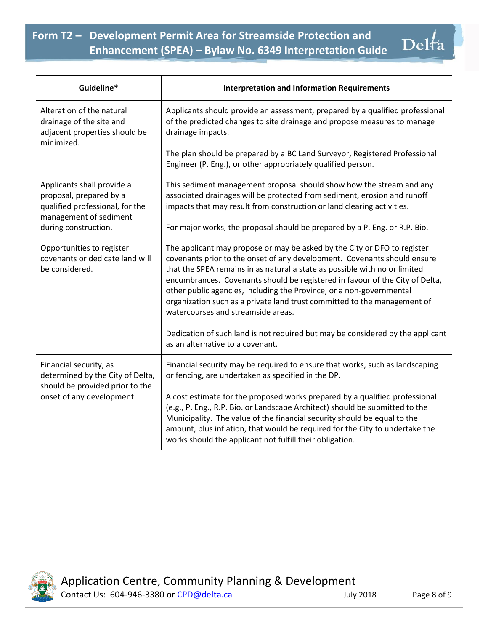| Guideline*                                                                                                         | <b>Interpretation and Information Requirements</b>                                                                                                                                                                                                                                                                                                                                                                                                                                                           |
|--------------------------------------------------------------------------------------------------------------------|--------------------------------------------------------------------------------------------------------------------------------------------------------------------------------------------------------------------------------------------------------------------------------------------------------------------------------------------------------------------------------------------------------------------------------------------------------------------------------------------------------------|
| Alteration of the natural<br>drainage of the site and<br>adjacent properties should be<br>minimized.               | Applicants should provide an assessment, prepared by a qualified professional<br>of the predicted changes to site drainage and propose measures to manage<br>drainage impacts.                                                                                                                                                                                                                                                                                                                               |
|                                                                                                                    | The plan should be prepared by a BC Land Surveyor, Registered Professional<br>Engineer (P. Eng.), or other appropriately qualified person.                                                                                                                                                                                                                                                                                                                                                                   |
| Applicants shall provide a<br>proposal, prepared by a<br>qualified professional, for the<br>management of sediment | This sediment management proposal should show how the stream and any<br>associated drainages will be protected from sediment, erosion and runoff<br>impacts that may result from construction or land clearing activities.                                                                                                                                                                                                                                                                                   |
| during construction.                                                                                               | For major works, the proposal should be prepared by a P. Eng. or R.P. Bio.                                                                                                                                                                                                                                                                                                                                                                                                                                   |
| Opportunities to register<br>covenants or dedicate land will<br>be considered.                                     | The applicant may propose or may be asked by the City or DFO to register<br>covenants prior to the onset of any development. Covenants should ensure<br>that the SPEA remains in as natural a state as possible with no or limited<br>encumbrances. Covenants should be registered in favour of the City of Delta,<br>other public agencies, including the Province, or a non-governmental<br>organization such as a private land trust committed to the management of<br>watercourses and streamside areas. |
|                                                                                                                    | Dedication of such land is not required but may be considered by the applicant<br>as an alternative to a covenant.                                                                                                                                                                                                                                                                                                                                                                                           |
| Financial security, as<br>determined by the City of Delta,<br>should be provided prior to the                      | Financial security may be required to ensure that works, such as landscaping<br>or fencing, are undertaken as specified in the DP.                                                                                                                                                                                                                                                                                                                                                                           |
| onset of any development.                                                                                          | A cost estimate for the proposed works prepared by a qualified professional<br>(e.g., P. Eng., R.P. Bio. or Landscape Architect) should be submitted to the<br>Municipality. The value of the financial security should be equal to the<br>amount, plus inflation, that would be required for the City to undertake the<br>works should the applicant not fulfill their obligation.                                                                                                                          |



Application Centre, Community Planning & Development Contact Us: 604-946-3380 or [CPD@delta.ca](mailto:CPD@delta.ca) July 2018 Page 8 of 9